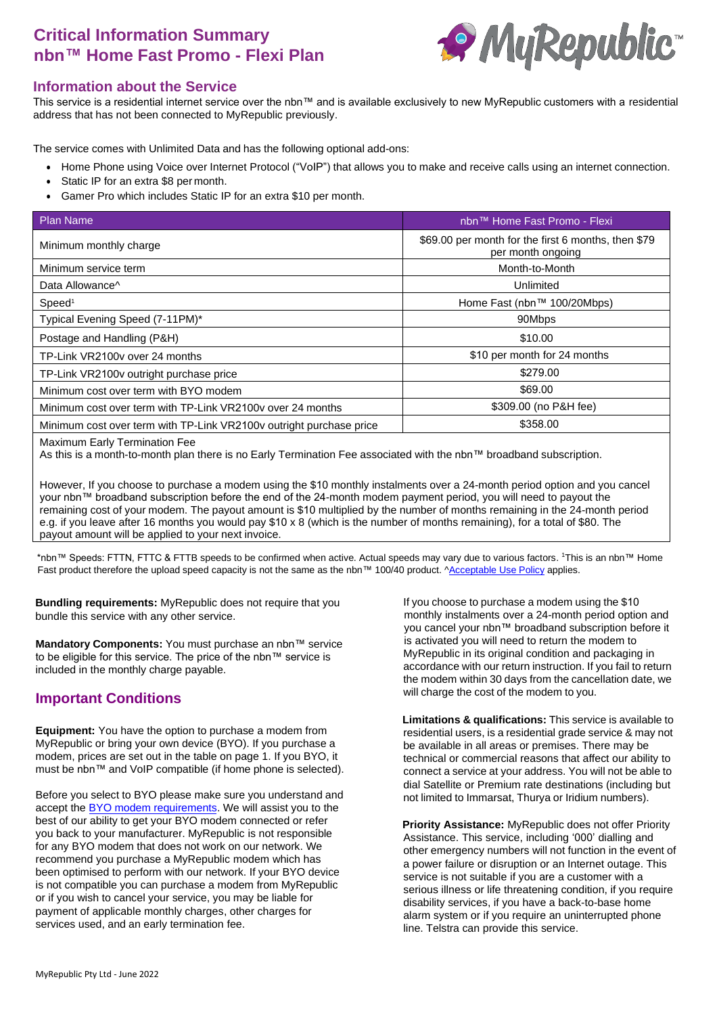# **Critical Information Summary nbn™ Home Fast Promo - Flexi Plan**



#### **Information about the Service**

This service is a residential internet service over the nbn™ and is available exclusively to new MyRepublic customers with a residential address that has not been connected to MyRepublic previously.

The service comes with Unlimited Data and has the following optional add-ons:

- Home Phone using Voice over Internet Protocol ("VoIP") that allows you to make and receive calls using an internet connection.
- Static IP for an extra \$8 per month.
- Gamer Pro which includes Static IP for an extra \$10 per month.

| <b>Plan Name</b>                                                    | nbn™ Home Fast Promo - Flexi                                             |  |
|---------------------------------------------------------------------|--------------------------------------------------------------------------|--|
| Minimum monthly charge                                              | \$69.00 per month for the first 6 months, then \$79<br>per month ongoing |  |
| Minimum service term                                                | Month-to-Month                                                           |  |
| Data Allowance <sup>^</sup>                                         | Unlimited                                                                |  |
| Speed <sup>1</sup>                                                  | Home Fast (nbn™ 100/20Mbps)                                              |  |
| Typical Evening Speed (7-11PM)*                                     | 90Mbps                                                                   |  |
| Postage and Handling (P&H)                                          | \$10.00                                                                  |  |
| TP-Link VR2100v over 24 months                                      | \$10 per month for 24 months                                             |  |
| TP-Link VR2100v outright purchase price                             | \$279.00                                                                 |  |
| Minimum cost over term with BYO modem                               | \$69.00                                                                  |  |
| Minimum cost over term with TP-Link VR2100v over 24 months          | \$309.00 (no P&H fee)                                                    |  |
| Minimum cost over term with TP-Link VR2100v outright purchase price | \$358.00                                                                 |  |
|                                                                     |                                                                          |  |

Maximum Early Termination Fee

As this is a month-to-month plan there is no Early Termination Fee associated with the nbn™ broadband subscription.

However, If you choose to purchase a modem using the \$10 monthly instalments over a 24-month period option and you cancel your nbn™ broadband subscription before the end of the 24-month modem payment period, you will need to payout the remaining cost of your modem. The payout amount is \$10 multiplied by the number of months remaining in the 24-month period e.g. if you leave after 16 months you would pay \$10 x 8 (which is the number of months remaining), for a total of \$80. The payout amount will be applied to your next invoice.

\*nbn™ Speeds: FTTN, FTTC & FTTB speeds to be confirmed when active. Actual speeds may vary due to various factors. <sup>1</sup>This is an nbn™ Home Fast product therefore the upload speed capacity is not the same as the nbn™ 100/40 product. [^Acceptable Use](http://www.myrepublic.net/au/legal) Policy applies.

**Bundling requirements:** MyRepublic does not require that you bundle this service with any other service.

**Mandatory Components:** You must purchase an nbn™ service to be eligible for this service. The price of the nbn™ service is included in the monthly charge payable.

### **Important Conditions**

**Equipment:** You have the option to purchase a modem from MyRepublic or bring your own device (BYO). If you purchase a modem, prices are set out in the table on page 1. If you BYO, it must be nbn™ and VoIP compatible (if home phone is selected).

Before you select to BYO please make sure you understand and accept the **BYO** modem requirements. We will assist you to the best of our ability to get your BYO modem connected or refer you back to your manufacturer. MyRepublic is not responsible for any BYO modem that does not work on our network. We recommend you purchase a MyRepublic modem which has been optimised to perform with our network. If your BYO device is not compatible you can purchase a modem from MyRepublic or if you wish to cancel your service, you may be liable for payment of applicable monthly charges, other charges for services used, and an early termination fee.

If you choose to purchase a modem using the \$10 monthly instalments over a 24-month period option and you cancel your nbn™ broadband subscription before it is activated you will need to return the modem to MyRepublic in its original condition and packaging in accordance with our return instruction. If you fail to return the modem within 30 days from the cancellation date, we will charge the cost of the modem to you.

**Limitations & qualifications:** This service is available to residential users, is a residential grade service & may not be available in all areas or premises. There may be technical or commercial reasons that affect our ability to connect a service at your address. You will not be able to dial Satellite or Premium rate destinations (including but not limited to Immarsat, Thurya or Iridium numbers).

**Priority Assistance:** MyRepublic does not offer Priority Assistance. This service, including '000' dialling and other emergency numbers will not function in the event of a power failure or disruption or an Internet outage. This service is not suitable if you are a customer with a serious illness or life threatening condition, if you require disability services, if you have a back-to-base home alarm system or if you require an uninterrupted phone line. Telstra can provide this service.